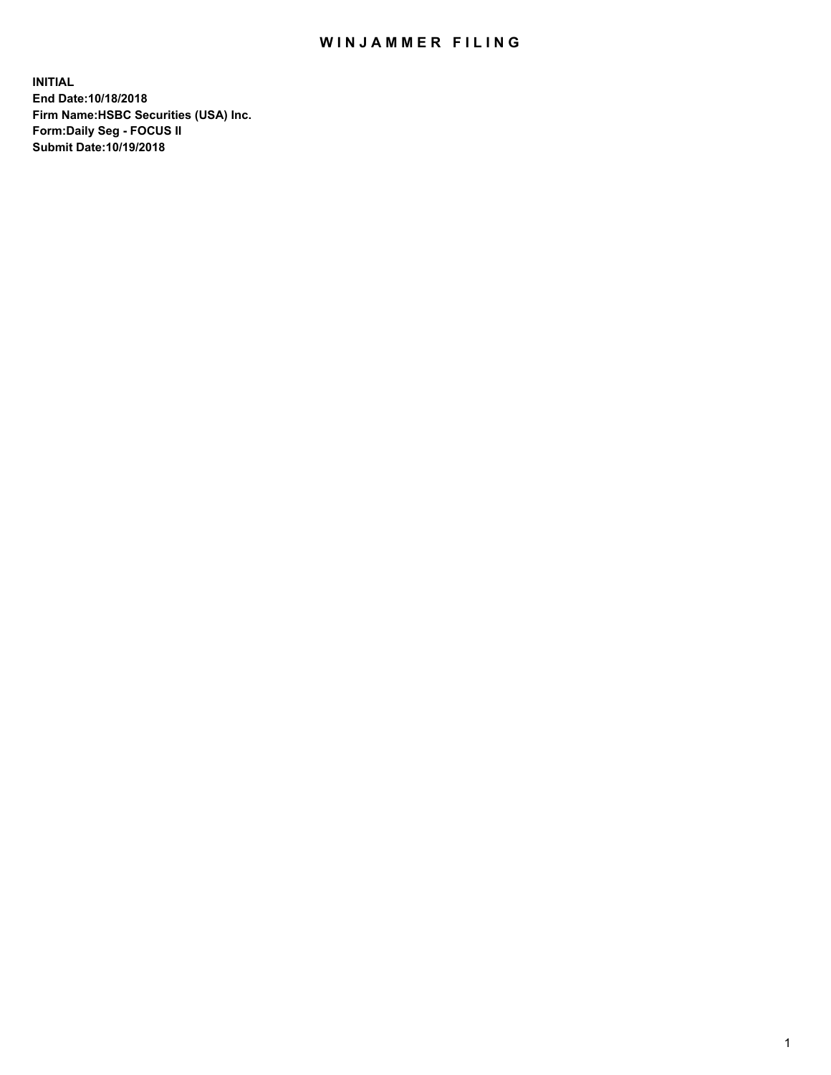## WIN JAMMER FILING

**INITIAL End Date:10/18/2018 Firm Name:HSBC Securities (USA) Inc. Form:Daily Seg - FOCUS II Submit Date:10/19/2018**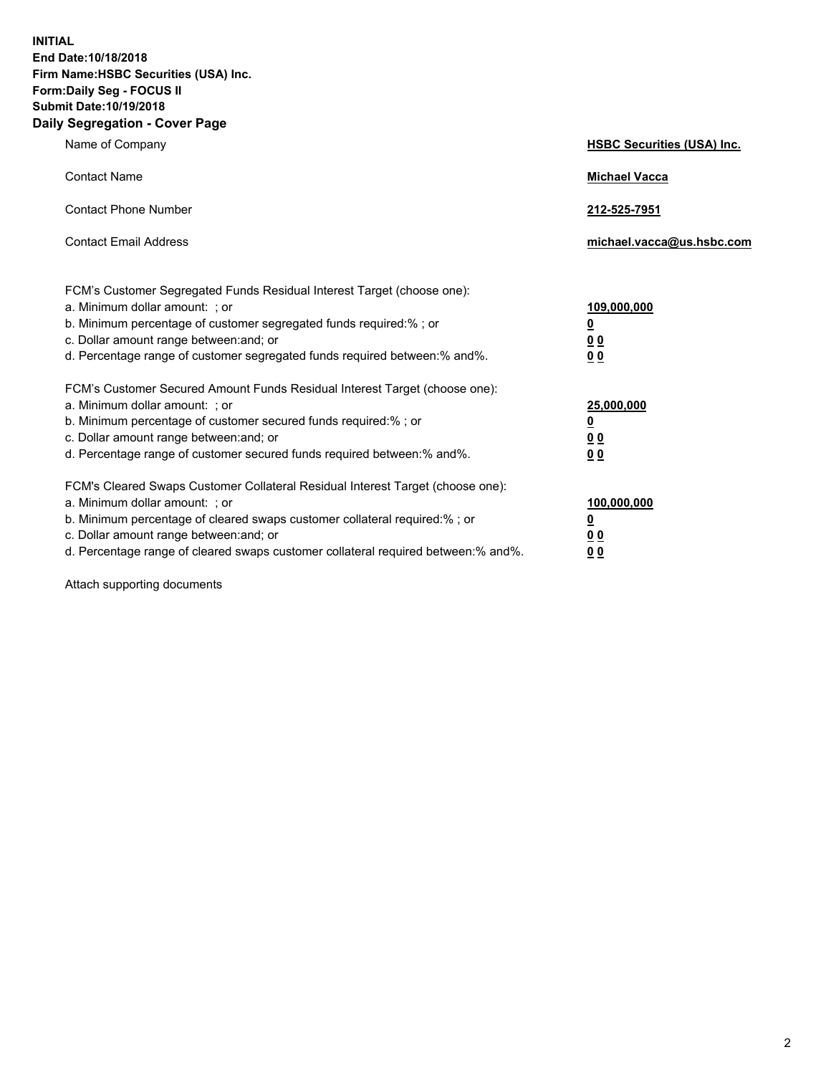**INITIAL End Date:10/18/2018 Firm Name:HSBC Securities (USA) Inc. Form:Daily Seg - FOCUS II Submit Date:10/19/2018 Daily Segregation - Cover Page**

| Name of Company                                                                                                                                                                                                                                                                                                                | <b>HSBC Securities (USA) Inc.</b>                                          |
|--------------------------------------------------------------------------------------------------------------------------------------------------------------------------------------------------------------------------------------------------------------------------------------------------------------------------------|----------------------------------------------------------------------------|
| <b>Contact Name</b>                                                                                                                                                                                                                                                                                                            | <b>Michael Vacca</b>                                                       |
| <b>Contact Phone Number</b>                                                                                                                                                                                                                                                                                                    | 212-525-7951                                                               |
| <b>Contact Email Address</b>                                                                                                                                                                                                                                                                                                   | michael.vacca@us.hsbc.com                                                  |
| FCM's Customer Segregated Funds Residual Interest Target (choose one):<br>a. Minimum dollar amount: : or<br>b. Minimum percentage of customer segregated funds required:% ; or<br>c. Dollar amount range between: and; or<br>d. Percentage range of customer segregated funds required between:% and%.                         | 109,000,000<br>$\overline{\mathbf{0}}$<br>0 <sub>0</sub><br>0 <sub>0</sub> |
| FCM's Customer Secured Amount Funds Residual Interest Target (choose one):<br>a. Minimum dollar amount: ; or<br>b. Minimum percentage of customer secured funds required:%; or<br>c. Dollar amount range between: and; or<br>d. Percentage range of customer secured funds required between:% and%.                            | 25,000,000<br><u>0</u><br>0 <sub>0</sub><br>00                             |
| FCM's Cleared Swaps Customer Collateral Residual Interest Target (choose one):<br>a. Minimum dollar amount: ; or<br>b. Minimum percentage of cleared swaps customer collateral required:% ; or<br>c. Dollar amount range between: and; or<br>d. Percentage range of cleared swaps customer collateral required between:% and%. | 100,000,000<br><u>0</u><br>00<br>0 <sub>0</sub>                            |

Attach supporting documents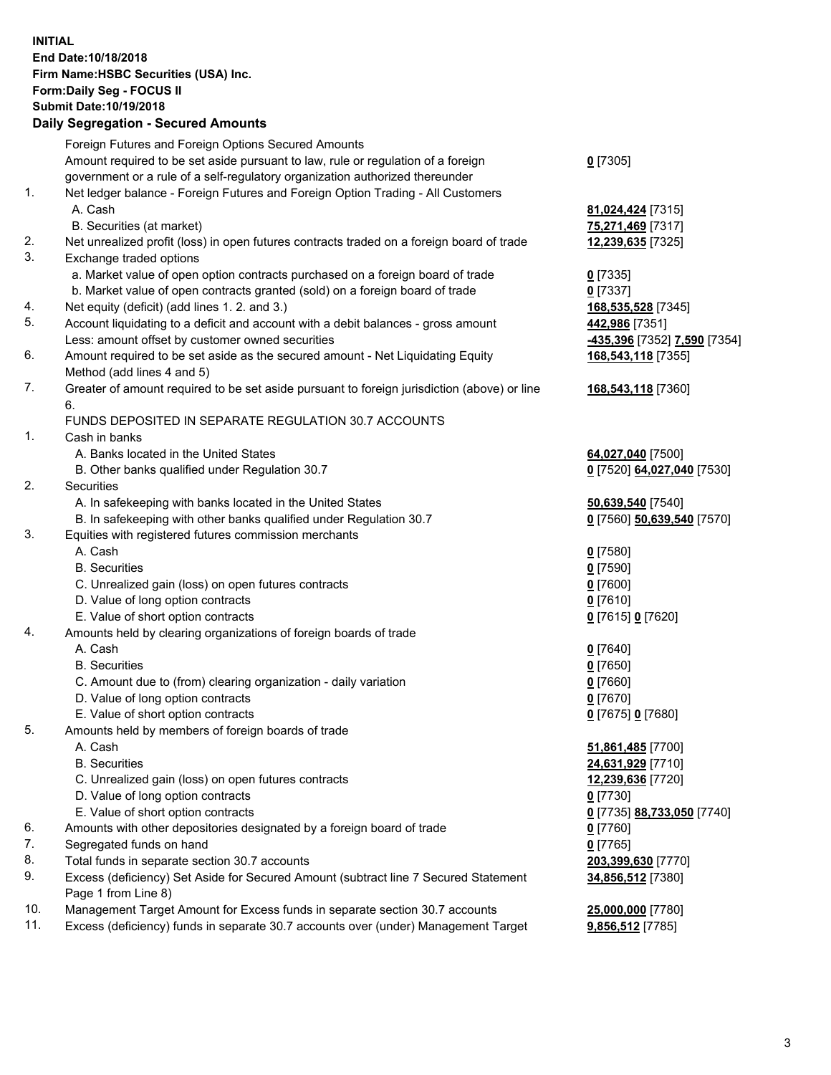**INITIAL End Date:10/18/2018 Firm Name:HSBC Securities (USA) Inc. Form:Daily Seg - FOCUS II Submit Date:10/19/2018 Daily Segregation - Secured Amounts** Foreign Futures and Foreign Options Secured Amounts Amount required to be set aside pursuant to law, rule or regulation of a foreign government or a rule of a self-regulatory organization authorized thereunder **0** [7305] 1. Net ledger balance - Foreign Futures and Foreign Option Trading - All Customers A. Cash **81,024,424** [7315] B. Securities (at market) **75,271,469** [7317] 2. Net unrealized profit (loss) in open futures contracts traded on a foreign board of trade **12,239,635** [7325] 3. Exchange traded options a. Market value of open option contracts purchased on a foreign board of trade **0** [7335] b. Market value of open contracts granted (sold) on a foreign board of trade **0** [7337] 4. Net equity (deficit) (add lines 1. 2. and 3.) **168,535,528** [7345] 5. Account liquidating to a deficit and account with a debit balances - gross amount **442,986** [7351] Less: amount offset by customer owned securities **-435,396** [7352] **7,590** [7354] 6. Amount required to be set aside as the secured amount - Net Liquidating Equity Method (add lines 4 and 5) **168,543,118** [7355] 7. Greater of amount required to be set aside pursuant to foreign jurisdiction (above) or line 6. **168,543,118** [7360] FUNDS DEPOSITED IN SEPARATE REGULATION 30.7 ACCOUNTS 1. Cash in banks A. Banks located in the United States **64,027,040** [7500] B. Other banks qualified under Regulation 30.7 **0** [7520] **64,027,040** [7530] 2. Securities A. In safekeeping with banks located in the United States **50,639,540** [7540] B. In safekeeping with other banks qualified under Regulation 30.7 **0** [7560] **50,639,540** [7570] 3. Equities with registered futures commission merchants A. Cash **0** [7580] B. Securities **0** [7590] C. Unrealized gain (loss) on open futures contracts **0** [7600] D. Value of long option contracts **0** [7610] E. Value of short option contracts **0** [7615] **0** [7620] 4. Amounts held by clearing organizations of foreign boards of trade A. Cash **0** [7640] B. Securities **0** [7650] C. Amount due to (from) clearing organization - daily variation **0** [7660] D. Value of long option contracts **0** [7670] E. Value of short option contracts **0** [7675] **0** [7680] 5. Amounts held by members of foreign boards of trade A. Cash **51,861,485** [7700] B. Securities **24,631,929** [7710] C. Unrealized gain (loss) on open futures contracts **12,239,636** [7720] D. Value of long option contracts **0** [7730] E. Value of short option contracts **0** [7735] **88,733,050** [7740] 6. Amounts with other depositories designated by a foreign board of trade **0** [7760] 7. Segregated funds on hand **0** [7765] 8. Total funds in separate section 30.7 accounts **203,399,630** [7770] 9. Excess (deficiency) Set Aside for Secured Amount (subtract line 7 Secured Statement **34,856,512** [7380]

Page 1 from Line 8)

10. Management Target Amount for Excess funds in separate section 30.7 accounts **25,000,000** [7780] 11. Excess (deficiency) funds in separate 30.7 accounts over (under) Management Target **9,856,512** [7785]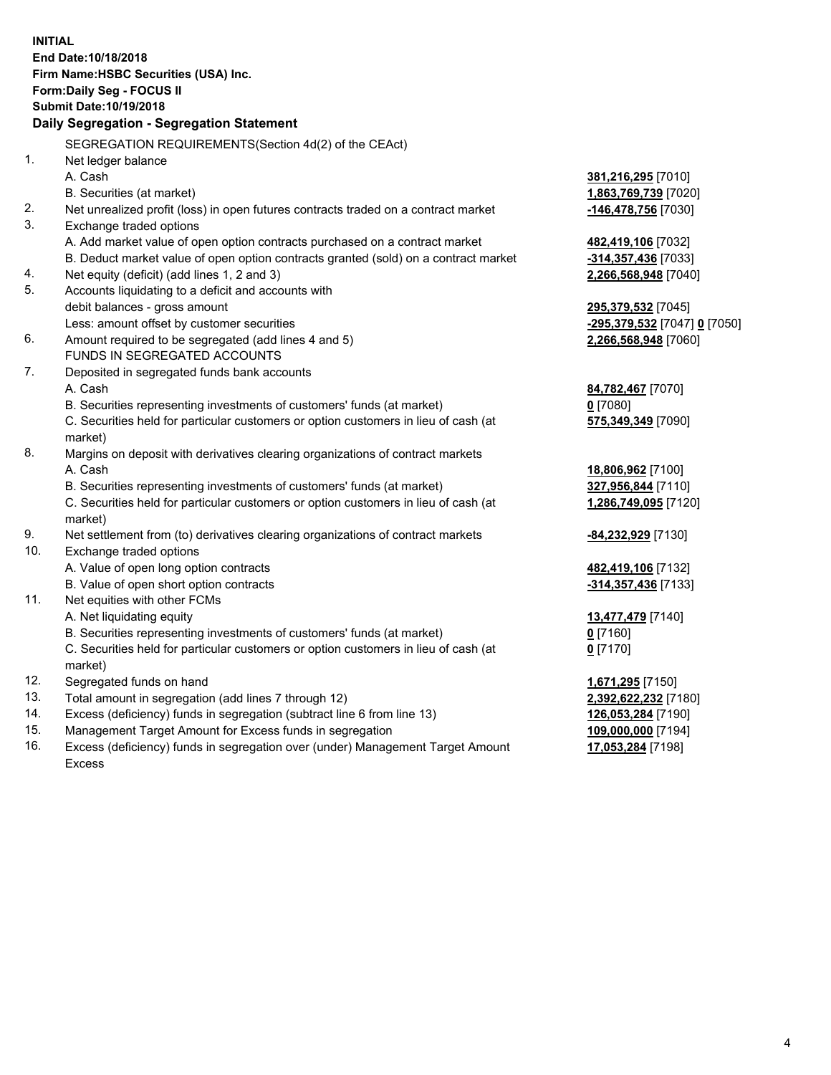**INITIAL End Date:10/18/2018 Firm Name:HSBC Securities (USA) Inc. Form:Daily Seg - FOCUS II Submit Date:10/19/2018 Daily Segregation - Segregation Statement** SEGREGATION REQUIREMENTS(Section 4d(2) of the CEAct) 1. Net ledger balance A. Cash **381,216,295** [7010] B. Securities (at market) **1,863,769,739** [7020] 2. Net unrealized profit (loss) in open futures contracts traded on a contract market **-146,478,756** [7030] 3. Exchange traded options A. Add market value of open option contracts purchased on a contract market **482,419,106** [7032] B. Deduct market value of open option contracts granted (sold) on a contract market **-314,357,436** [7033] 4. Net equity (deficit) (add lines 1, 2 and 3) **2,266,568,948** [7040] 5. Accounts liquidating to a deficit and accounts with debit balances - gross amount **295,379,532** [7045] Less: amount offset by customer securities **-295,379,532** [7047] **0** [7050] 6. Amount required to be segregated (add lines 4 and 5) **2,266,568,948** [7060] FUNDS IN SEGREGATED ACCOUNTS 7. Deposited in segregated funds bank accounts A. Cash **84,782,467** [7070] B. Securities representing investments of customers' funds (at market) **0** [7080] C. Securities held for particular customers or option customers in lieu of cash (at market) **575,349,349** [7090] 8. Margins on deposit with derivatives clearing organizations of contract markets A. Cash **18,806,962** [7100] B. Securities representing investments of customers' funds (at market) **327,956,844** [7110] C. Securities held for particular customers or option customers in lieu of cash (at market) **1,286,749,095** [7120] 9. Net settlement from (to) derivatives clearing organizations of contract markets **-84,232,929** [7130] 10. Exchange traded options A. Value of open long option contracts **482,419,106** [7132] B. Value of open short option contracts **-314,357,436** [7133] 11. Net equities with other FCMs A. Net liquidating equity **13,477,479** [7140] B. Securities representing investments of customers' funds (at market) **0** [7160] C. Securities held for particular customers or option customers in lieu of cash (at market) **0** [7170] 12. Segregated funds on hand **1,671,295** [7150] 13. Total amount in segregation (add lines 7 through 12) **2,392,622,232** [7180] 14. Excess (deficiency) funds in segregation (subtract line 6 from line 13) **126,053,284** [7190] 15. Management Target Amount for Excess funds in segregation **109,000,000** [7194]

16. Excess (deficiency) funds in segregation over (under) Management Target Amount Excess

**17,053,284** [7198]